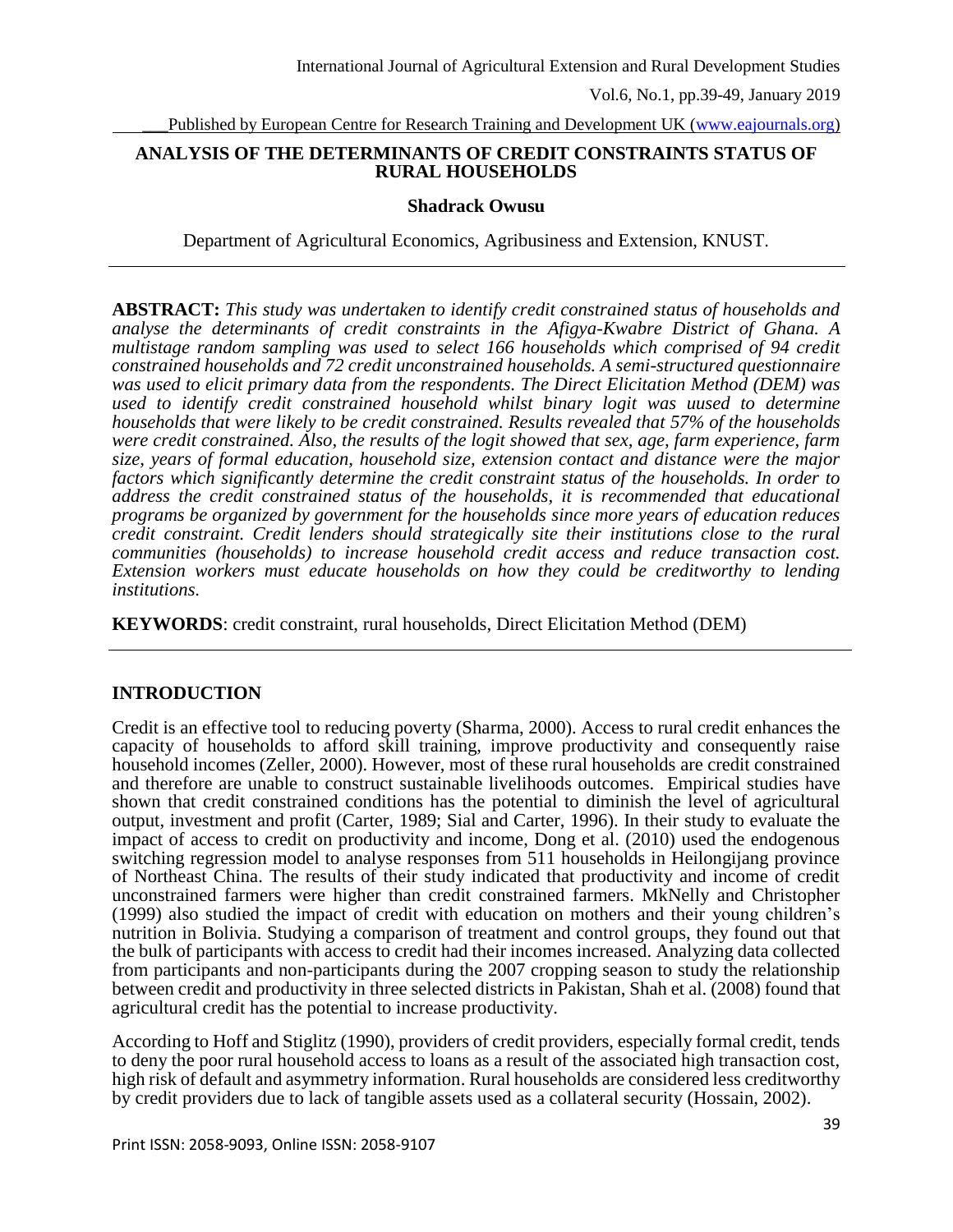Published by European Centre for Research Training and Development UK [\(www.eajournals.org\)](http://www.eajournals.org/)

# **ANALYSIS OF THE DETERMINANTS OF CREDIT CONSTRAINTS STATUS OF RURAL HOUSEHOLDS**

#### **Shadrack Owusu**

Department of Agricultural Economics, Agribusiness and Extension, KNUST.

**ABSTRACT:** *This study was undertaken to identify credit constrained status of households and analyse the determinants of credit constraints in the Afigya-Kwabre District of Ghana. A multistage random sampling was used to select 166 households which comprised of 94 credit constrained households and 72 credit unconstrained households. A semi-structured questionnaire was used to elicit primary data from the respondents. The Direct Elicitation Method (DEM) was used to identify credit constrained household whilst binary logit was uused to determine households that were likely to be credit constrained. Results revealed that 57% of the households were credit constrained. Also, the results of the logit showed that sex, age, farm experience, farm size, years of formal education, household size, extension contact and distance were the major factors which significantly determine the credit constraint status of the households. In order to address the credit constrained status of the households, it is recommended that educational programs be organized by government for the households since more years of education reduces credit constraint. Credit lenders should strategically site their institutions close to the rural communities (households) to increase household credit access and reduce transaction cost. Extension workers must educate households on how they could be creditworthy to lending institutions.*

**KEYWORDS**: credit constraint, rural households, Direct Elicitation Method (DEM)

# **INTRODUCTION**

Credit is an effective tool to reducing poverty (Sharma, 2000). Access to rural credit enhances the capacity of households to afford skill training, improve productivity and consequently raise household incomes (Zeller, 2000). However, most of these rural households are credit constrained and therefore are unable to construct sustainable livelihoods outcomes. Empirical studies have shown that credit constrained conditions has the potential to diminish the level of agricultural output, investment and profit (Carter, 1989; Sial and Carter, 1996). In their study to evaluate the impact of access to credit on productivity and income, Dong et al. (2010) used the endogenous switching regression model to analyse responses from 511 households in Heilongijang province of Northeast China. The results of their study indicated that productivity and income of credit unconstrained farmers were higher than credit constrained farmers. MkNelly and Christopher (1999) also studied the impact of credit with education on mothers and their young children's nutrition in Bolivia. Studying a comparison of treatment and control groups, they found out that the bulk of participants with access to credit had their incomes increased. Analyzing data collected from participants and non-participants during the 2007 cropping season to study the relationship between credit and productivity in three selected districts in Pakistan, Shah et al. (2008) found that agricultural credit has the potential to increase productivity.

According to Hoff and Stiglitz (1990), providers of credit providers, especially formal credit, tends to deny the poor rural household access to loans as a result of the associated high transaction cost, high risk of default and asymmetry information. Rural households are considered less creditworthy by credit providers due to lack of tangible assets used as a collateral security (Hossain, 2002).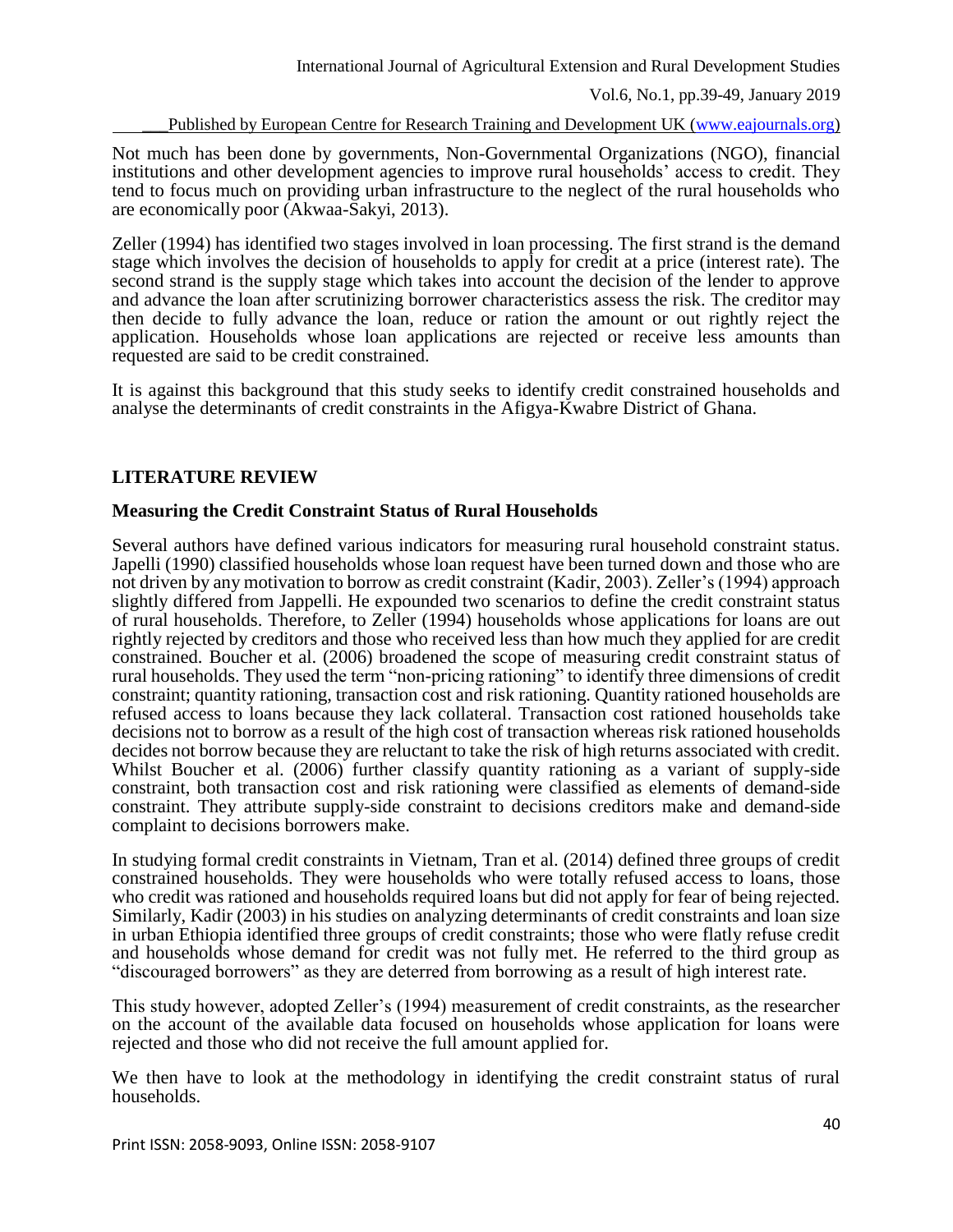Published by European Centre for Research Training and Development UK [\(www.eajournals.org\)](http://www.eajournals.org/)

Not much has been done by governments, Non-Governmental Organizations (NGO), financial institutions and other development agencies to improve rural households' access to credit. They tend to focus much on providing urban infrastructure to the neglect of the rural households who are economically poor (Akwaa-Sakyi, 2013).

Zeller (1994) has identified two stages involved in loan processing. The first strand is the demand stage which involves the decision of households to apply for credit at a price (interest rate). The second strand is the supply stage which takes into account the decision of the lender to approve and advance the loan after scrutinizing borrower characteristics assess the risk. The creditor may then decide to fully advance the loan, reduce or ration the amount or out rightly reject the application. Households whose loan applications are rejected or receive less amounts than requested are said to be credit constrained.

It is against this background that this study seeks to identify credit constrained households and analyse the determinants of credit constraints in the Afigya-Kwabre District of Ghana.

# **LITERATURE REVIEW**

#### **Measuring the Credit Constraint Status of Rural Households**

Several authors have defined various indicators for measuring rural household constraint status. Japelli (1990) classified households whose loan request have been turned down and those who are not driven by any motivation to borrow as credit constraint (Kadir, 2003). Zeller's (1994) approach slightly differed from Jappelli. He expounded two scenarios to define the credit constraint status of rural households. Therefore, to Zeller (1994) households whose applications for loans are out rightly rejected by creditors and those who received less than how much they applied for are credit constrained. Boucher et al. (2006) broadened the scope of measuring credit constraint status of rural households. They used the term "non-pricing rationing" to identify three dimensions of credit constraint; quantity rationing, transaction cost and risk rationing. Quantity rationed households are refused access to loans because they lack collateral. Transaction cost rationed households take decisions not to borrow as a result of the high cost of transaction whereas risk rationed households decides not borrow because they are reluctant to take the risk of high returns associated with credit. Whilst Boucher et al. (2006) further classify quantity rationing as a variant of supply-side constraint, both transaction cost and risk rationing were classified as elements of demand-side constraint. They attribute supply-side constraint to decisions creditors make and demand-side complaint to decisions borrowers make.

In studying formal credit constraints in Vietnam, Tran et al. (2014) defined three groups of credit constrained households. They were households who were totally refused access to loans, those who credit was rationed and households required loans but did not apply for fear of being rejected. Similarly, Kadir (2003) in his studies on analyzing determinants of credit constraints and loan size in urban Ethiopia identified three groups of credit constraints; those who were flatly refuse credit and households whose demand for credit was not fully met. He referred to the third group as "discouraged borrowers" as they are deterred from borrowing as a result of high interest rate.

This study however, adopted Zeller's (1994) measurement of credit constraints, as the researcher on the account of the available data focused on households whose application for loans were rejected and those who did not receive the full amount applied for.

We then have to look at the methodology in identifying the credit constraint status of rural households.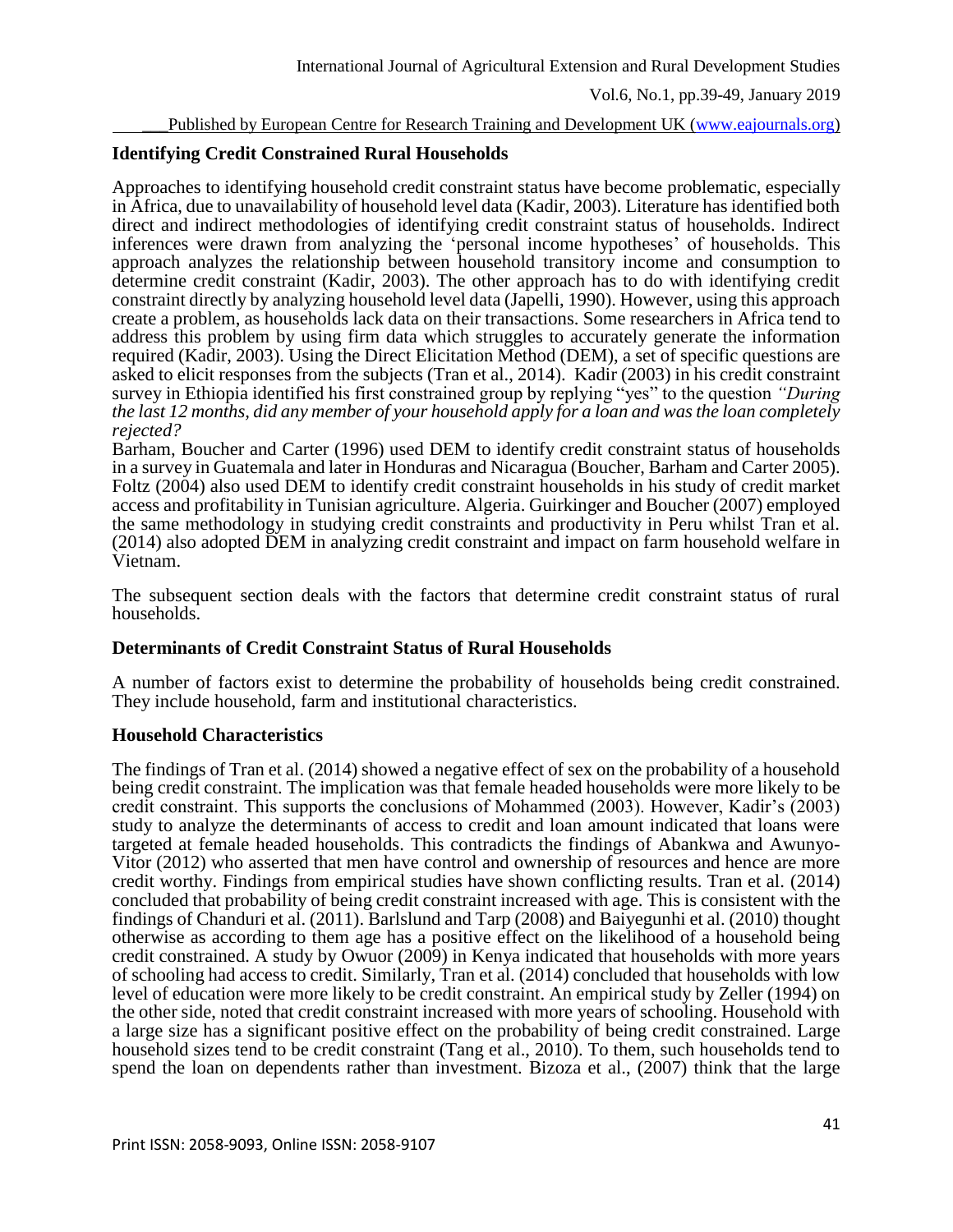Published by European Centre for Research Training and Development UK [\(www.eajournals.org\)](http://www.eajournals.org/)

# **Identifying Credit Constrained Rural Households**

Approaches to identifying household credit constraint status have become problematic, especially in Africa, due to unavailability of household level data (Kadir, 2003). Literature has identified both direct and indirect methodologies of identifying credit constraint status of households. Indirect inferences were drawn from analyzing the 'personal income hypotheses' of households. This approach analyzes the relationship between household transitory income and consumption to determine credit constraint (Kadir, 2003). The other approach has to do with identifying credit constraint directly by analyzing household level data (Japelli, 1990). However, using this approach create a problem, as households lack data on their transactions. Some researchers in Africa tend to address this problem by using firm data which struggles to accurately generate the information required (Kadir, 2003). Using the Direct Elicitation Method (DEM), a set of specific questions are asked to elicit responses from the subjects (Tran et al., 2014). Kadir (2003) in his credit constraint survey in Ethiopia identified his first constrained group by replying "yes" to the question *"During the last 12 months, did any member of your household apply for a loan and was the loan completely rejected?*

Barham, Boucher and Carter (1996) used DEM to identify credit constraint status of households in a survey in Guatemala and later in Honduras and Nicaragua (Boucher, Barham and Carter 2005). Foltz (2004) also used DEM to identify credit constraint households in his study of credit market access and profitability in Tunisian agriculture. Algeria. Guirkinger and Boucher (2007) employed the same methodology in studying credit constraints and productivity in Peru whilst Tran et al. (2014) also adopted DEM in analyzing credit constraint and impact on farm household welfare in Vietnam.

The subsequent section deals with the factors that determine credit constraint status of rural households.

# **Determinants of Credit Constraint Status of Rural Households**

A number of factors exist to determine the probability of households being credit constrained. They include household, farm and institutional characteristics.

# **Household Characteristics**

The findings of Tran et al. (2014) showed a negative effect of sex on the probability of a household being credit constraint. The implication was that female headed households were more likely to be credit constraint. This supports the conclusions of Mohammed (2003). However, Kadir's (2003) study to analyze the determinants of access to credit and loan amount indicated that loans were targeted at female headed households. This contradicts the findings of Abankwa and Awunyo-Vitor (2012) who asserted that men have control and ownership of resources and hence are more credit worthy. Findings from empirical studies have shown conflicting results. Tran et al. (2014) concluded that probability of being credit constraint increased with age. This is consistent with the findings of Chanduri et al. (2011). Barlslund and Tarp (2008) and Baiyegunhi et al. (2010) thought otherwise as according to them age has a positive effect on the likelihood of a household being credit constrained. A study by Owuor (2009) in Kenya indicated that households with more years of schooling had access to credit. Similarly, Tran et al. (2014) concluded that households with low level of education were more likely to be credit constraint. An empirical study by Zeller (1994) on the other side, noted that credit constraint increased with more years of schooling. Household with a large size has a significant positive effect on the probability of being credit constrained. Large household sizes tend to be credit constraint (Tang et al., 2010). To them, such households tend to spend the loan on dependents rather than investment. Bizoza et al., (2007) think that the large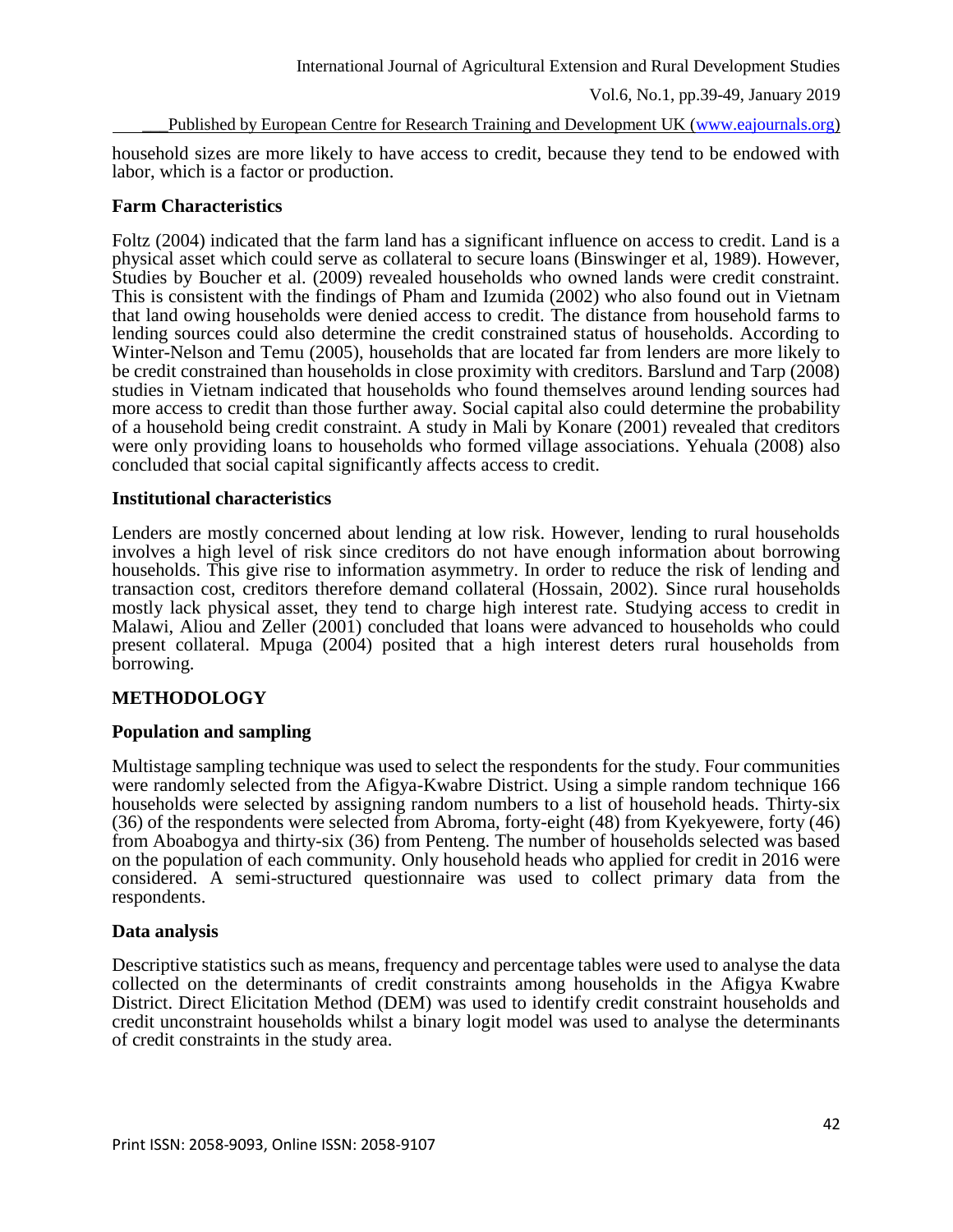Published by European Centre for Research Training and Development UK [\(www.eajournals.org\)](http://www.eajournals.org/)

household sizes are more likely to have access to credit, because they tend to be endowed with labor, which is a factor or production.

# **Farm Characteristics**

Foltz (2004) indicated that the farm land has a significant influence on access to credit. Land is a physical asset which could serve as collateral to secure loans (Binswinger et al, 1989). However, Studies by Boucher et al. (2009) revealed households who owned lands were credit constraint. This is consistent with the findings of Pham and Izumida (2002) who also found out in Vietnam that land owing households were denied access to credit. The distance from household farms to lending sources could also determine the credit constrained status of households. According to Winter-Nelson and Temu (2005), households that are located far from lenders are more likely to be credit constrained than households in close proximity with creditors. Barslund and Tarp (2008) studies in Vietnam indicated that households who found themselves around lending sources had more access to credit than those further away. Social capital also could determine the probability of a household being credit constraint. A study in Mali by Konare (2001) revealed that creditors were only providing loans to households who formed village associations. Yehuala (2008) also concluded that social capital significantly affects access to credit.

# **Institutional characteristics**

Lenders are mostly concerned about lending at low risk. However, lending to rural households involves a high level of risk since creditors do not have enough information about borrowing households. This give rise to information asymmetry. In order to reduce the risk of lending and transaction cost, creditors therefore demand collateral (Hossain, 2002). Since rural households mostly lack physical asset, they tend to charge high interest rate. Studying access to credit in Malawi, Aliou and Zeller (2001) concluded that loans were advanced to households who could present collateral. Mpuga (2004) posited that a high interest deters rural households from borrowing.

# **METHODOLOGY**

# **Population and sampling**

Multistage sampling technique was used to select the respondents for the study. Four communities were randomly selected from the Afigya-Kwabre District. Using a simple random technique 166 households were selected by assigning random numbers to a list of household heads. Thirty-six (36) of the respondents were selected from Abroma, forty-eight (48) from Kyekyewere, forty (46) from Aboabogya and thirty-six (36) from Penteng. The number of households selected was based on the population of each community. Only household heads who applied for credit in 2016 were considered. A semi-structured questionnaire was used to collect primary data from the respondents.

# **Data analysis**

Descriptive statistics such as means, frequency and percentage tables were used to analyse the data collected on the determinants of credit constraints among households in the Afigya Kwabre District. Direct Elicitation Method (DEM) was used to identify credit constraint households and credit unconstraint households whilst a binary logit model was used to analyse the determinants of credit constraints in the study area.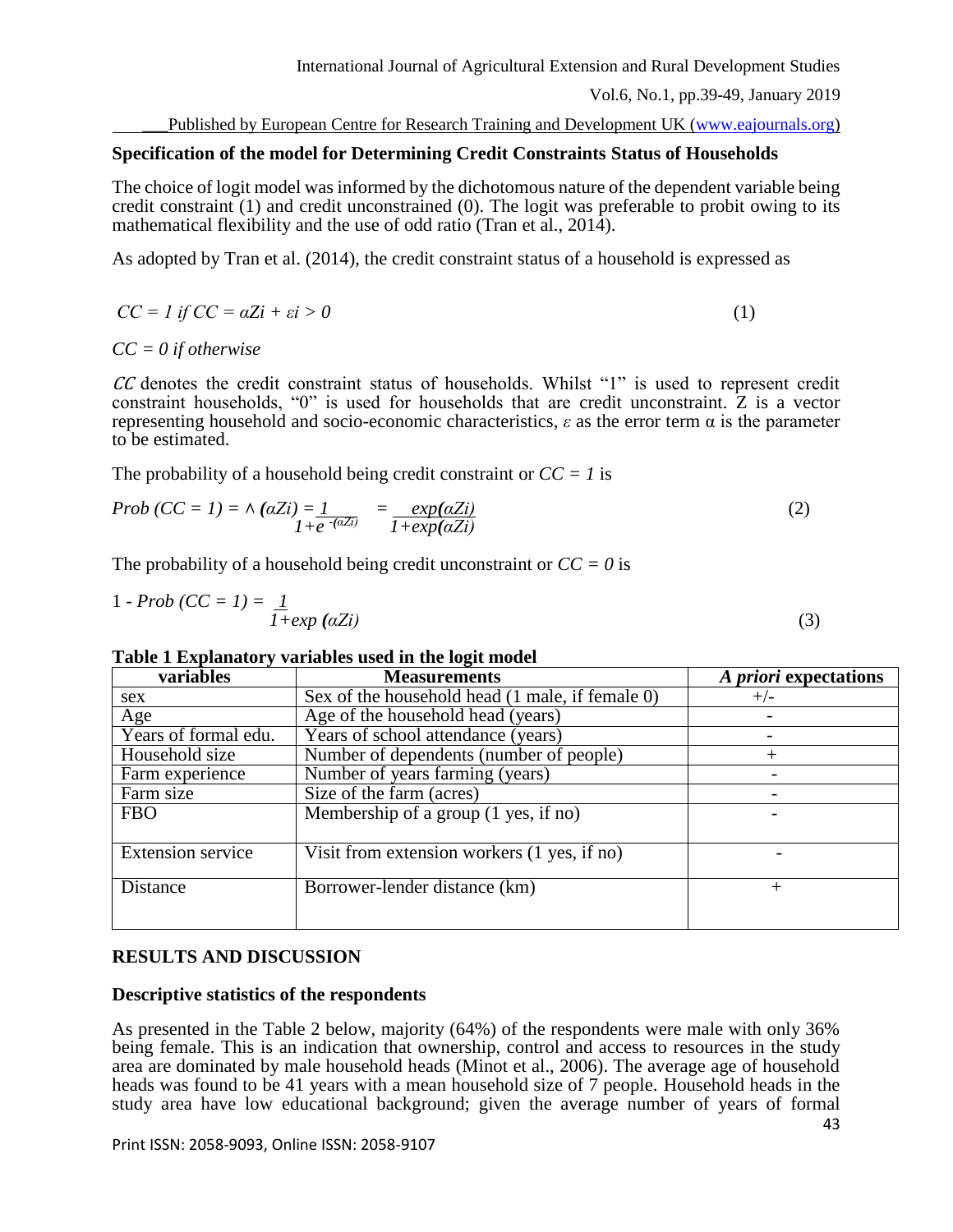Published by European Centre for Research Training and Development UK [\(www.eajournals.org\)](http://www.eajournals.org/)

# **Specification of the model for Determining Credit Constraints Status of Households**

The choice of logit model was informed by the dichotomous nature of the dependent variable being credit constraint (1) and credit unconstrained (0). The logit was preferable to probit owing to its mathematical flexibility and the use of odd ratio (Tran et al., 2014).

As adopted by Tran et al. (2014), the credit constraint status of a household is expressed as

$$
CC = l \text{ if } CC = \alpha Z i + \varepsilon i > 0 \tag{1}
$$

*CC = 0 if otherwise*

CC denotes the credit constraint status of households. Whilst "1" is used to represent credit constraint households, "0" is used for households that are credit unconstraint. Z is a vector representing household and socio-economic characteristics, *ε* as the error term α is the parameter to be estimated.

The probability of a household being credit constraint or  $CC = 1$  is

$$
Prob\left(CC = 1\right) = \land \left(\alpha Z i\right) = \frac{1}{1 + e^{-\left(\alpha Z i\right)}} = \frac{exp\left(\alpha Z i\right)}{1 + exp\left(\alpha Z i\right)}\tag{2}
$$

The probability of a household being credit unconstraint or  $CC = 0$  is

$$
1 - Prob\left(CC = 1\right) = \frac{1}{1 + exp\left(\alpha Z i\right)}\tag{3}
$$

# **Table 1 Explanatory variables used in the logit model**

| variables                | <b>Measurements</b>                                    | A priori expectations |
|--------------------------|--------------------------------------------------------|-----------------------|
| sex                      | Sex of the household head (1 male, if female 0)        | $+/-$                 |
| Age                      | Age of the household head (years)                      |                       |
| Years of formal edu.     | Years of school attendance (years)                     |                       |
| Household size           | Number of dependents (number of people)                |                       |
| Farm experience          | Number of years farming (years)                        |                       |
| Farm size                | Size of the farm (acres)                               |                       |
| <b>FBO</b>               | Membership of a group $(1 \text{ yes}, \text{ if no})$ |                       |
|                          |                                                        |                       |
| <b>Extension service</b> | Visit from extension workers (1 yes, if no)            |                       |
|                          |                                                        |                       |
| Distance                 | Borrower-lender distance (km)                          | $^+$                  |
|                          |                                                        |                       |
|                          |                                                        |                       |

# **RESULTS AND DISCUSSION**

# **Descriptive statistics of the respondents**

As presented in the Table 2 below, majority (64%) of the respondents were male with only 36% being female. This is an indication that ownership, control and access to resources in the study area are dominated by male household heads (Minot et al., 2006). The average age of household heads was found to be 41 years with a mean household size of 7 people. Household heads in the study area have low educational background; given the average number of years of formal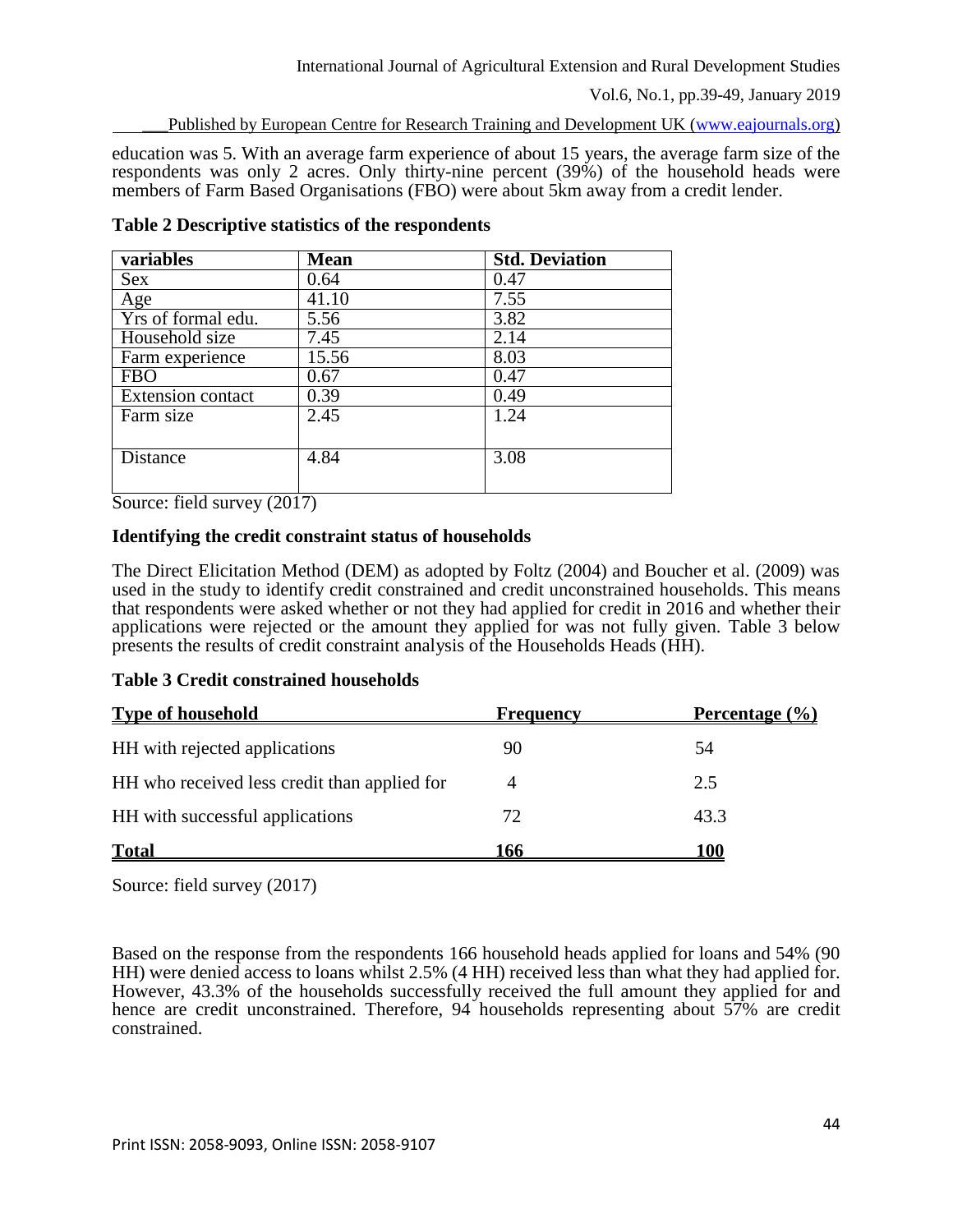Published by European Centre for Research Training and Development UK [\(www.eajournals.org\)](http://www.eajournals.org/)

education was 5. With an average farm experience of about 15 years, the average farm size of the respondents was only 2 acres. Only thirty-nine percent (39%) of the household heads were members of Farm Based Organisations (FBO) were about 5km away from a credit lender.

| variables                       | <b>Mean</b> | <b>Std. Deviation</b> |
|---------------------------------|-------------|-----------------------|
| Sex                             | 0.64        | 0.47                  |
| Age                             | 41.10       | 7.55                  |
| $\overline{Yrs}$ of formal edu. | 5.56        | 3.82                  |
| Household size                  | 7.45        | 2.14                  |
| Farm experience                 | 15.56       | 8.03                  |
| <b>FBO</b>                      | 0.67        | 0.47                  |
| Extension contact               | 0.39        | 0.49                  |
| Farm size                       | 2.45        | 1.24                  |
|                                 |             |                       |
| <b>Distance</b>                 | 4.84        | 3.08                  |
|                                 |             |                       |

**Table 2 Descriptive statistics of the respondents**

Source: field survey (2017)

# **Identifying the credit constraint status of households**

The Direct Elicitation Method (DEM) as adopted by Foltz (2004) and Boucher et al. (2009) was used in the study to identify credit constrained and credit unconstrained households. This means that respondents were asked whether or not they had applied for credit in 2016 and whether their applications were rejected or the amount they applied for was not fully given. Table 3 below presents the results of credit constraint analysis of the Households Heads (HH).

# **Table 3 Credit constrained households**

| <b>Type of household</b>                     | <b>Frequency</b> | Percentage $\left(\frac{0}{0}\right)$ |
|----------------------------------------------|------------------|---------------------------------------|
| HH with rejected applications                | 90               | 54                                    |
| HH who received less credit than applied for |                  | 2.5                                   |
| HH with successful applications              | 72               | 43.3                                  |
| <b>Total</b>                                 | 166              | 100                                   |

Source: field survey (2017)

Based on the response from the respondents 166 household heads applied for loans and 54% (90 HH) were denied access to loans whilst 2.5% (4 HH) received less than what they had applied for. However, 43.3% of the households successfully received the full amount they applied for and hence are credit unconstrained. Therefore, 94 households representing about 57% are credit constrained.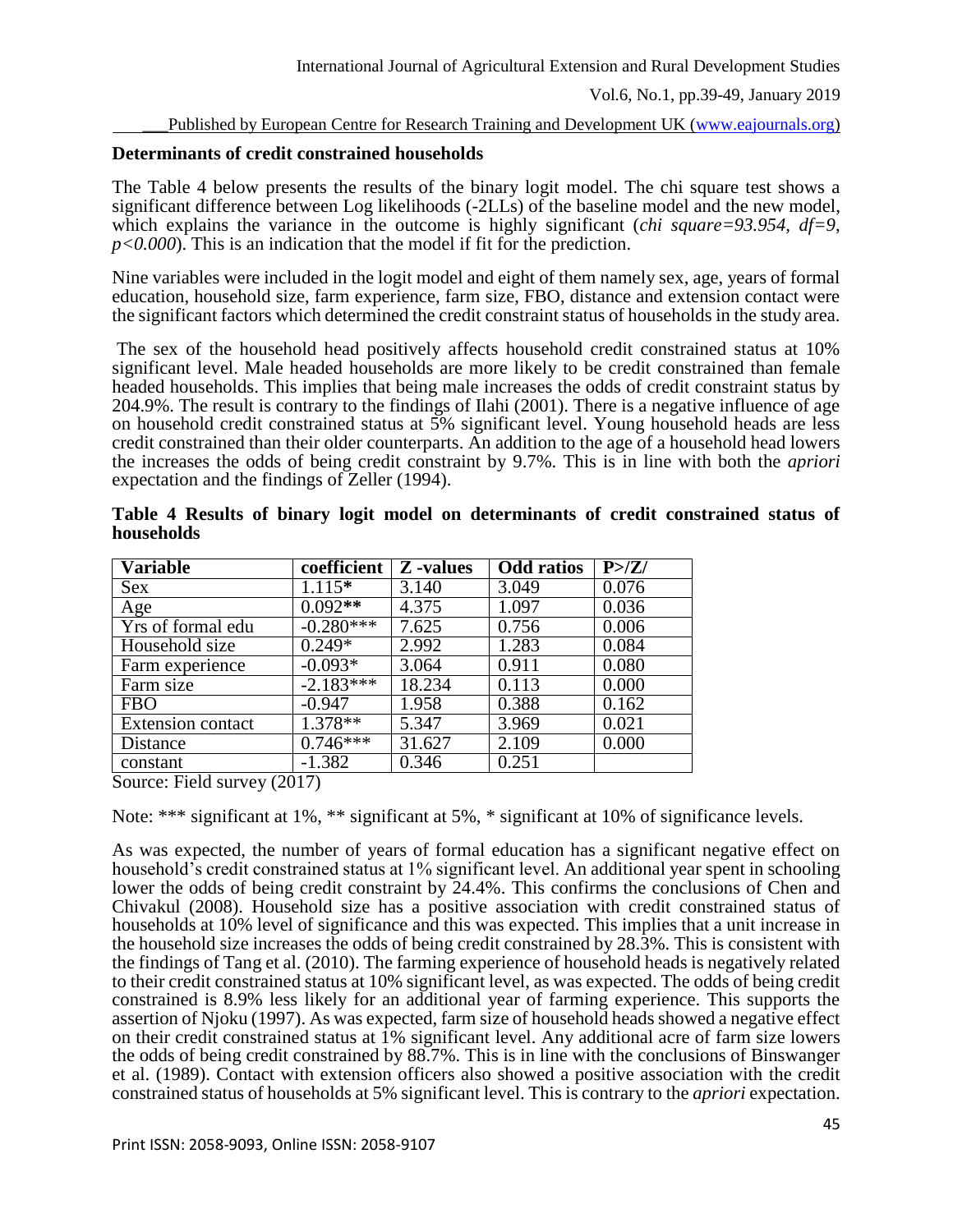#### Published by European Centre for Research Training and Development UK [\(www.eajournals.org\)](http://www.eajournals.org/)

# **Determinants of credit constrained households**

The Table 4 below presents the results of the binary logit model. The chi square test shows a significant difference between Log likelihoods (-2LLs) of the baseline model and the new model, which explains the variance in the outcome is highly significant (*chi square=93.954, df=9, p<0.000*). This is an indication that the model if fit for the prediction.

Nine variables were included in the logit model and eight of them namely sex, age, years of formal education, household size, farm experience, farm size, FBO, distance and extension contact were the significant factors which determined the credit constraint status of households in the study area.

The sex of the household head positively affects household credit constrained status at 10% significant level. Male headed households are more likely to be credit constrained than female headed households. This implies that being male increases the odds of credit constraint status by 204.9%. The result is contrary to the findings of Ilahi (2001). There is a negative influence of age on household credit constrained status at 5% significant level. Young household heads are less credit constrained than their older counterparts. An addition to the age of a household head lowers the increases the odds of being credit constraint by 9.7%. This is in line with both the *apriori* expectation and the findings of Zeller (1994).

| <b>Variable</b>          | coefficient | Z -values | <b>Odd</b> ratios | P > Z |
|--------------------------|-------------|-----------|-------------------|-------|
| <b>Sex</b>               | $1.115*$    | 3.140     | 3.049             | 0.076 |
| Age                      | $0.092**$   | 4.375     | 1.097             | 0.036 |
| Yrs of formal edu        | $-0.280***$ | 7.625     | 0.756             | 0.006 |
| Household size           | $0.249*$    | 2.992     | 1.283             | 0.084 |
| Farm experience          | $-0.093*$   | 3.064     | 0.911             | 0.080 |
| Farm size                | $-2.183***$ | 18.234    | 0.113             | 0.000 |
| <b>FBO</b>               | $-0.947$    | 1.958     | 0.388             | 0.162 |
| <b>Extension contact</b> | $1.378**$   | 5.347     | 3.969             | 0.021 |
| Distance                 | $0.746***$  | 31.627    | 2.109             | 0.000 |
| constant                 | $-1.382$    | 0.346     | 0.251             |       |

|            |  |  |  | Table 4 Results of binary logit model on determinants of credit constrained status of |  |  |  |
|------------|--|--|--|---------------------------------------------------------------------------------------|--|--|--|
| households |  |  |  |                                                                                       |  |  |  |

Source: Field survey (2017)

Note: \*\*\* significant at 1%, \*\* significant at 5%, \* significant at 10% of significance levels.

As was expected, the number of years of formal education has a significant negative effect on household's credit constrained status at 1% significant level. An additional year spent in schooling lower the odds of being credit constraint by 24.4%. This confirms the conclusions of Chen and Chivakul (2008). Household size has a positive association with credit constrained status of households at 10% level of significance and this was expected. This implies that a unit increase in the household size increases the odds of being credit constrained by 28.3%. This is consistent with the findings of Tang et al. (2010). The farming experience of household heads is negatively related to their credit constrained status at 10% significant level, as was expected. The odds of being credit constrained is 8.9% less likely for an additional year of farming experience. This supports the assertion of Njoku (1997). As was expected, farm size of household heads showed a negative effect on their credit constrained status at 1% significant level. Any additional acre of farm size lowers the odds of being credit constrained by 88.7%. This is in line with the conclusions of Binswanger et al. (1989). Contact with extension officers also showed a positive association with the credit constrained status of households at 5% significant level. This is contrary to the *apriori* expectation.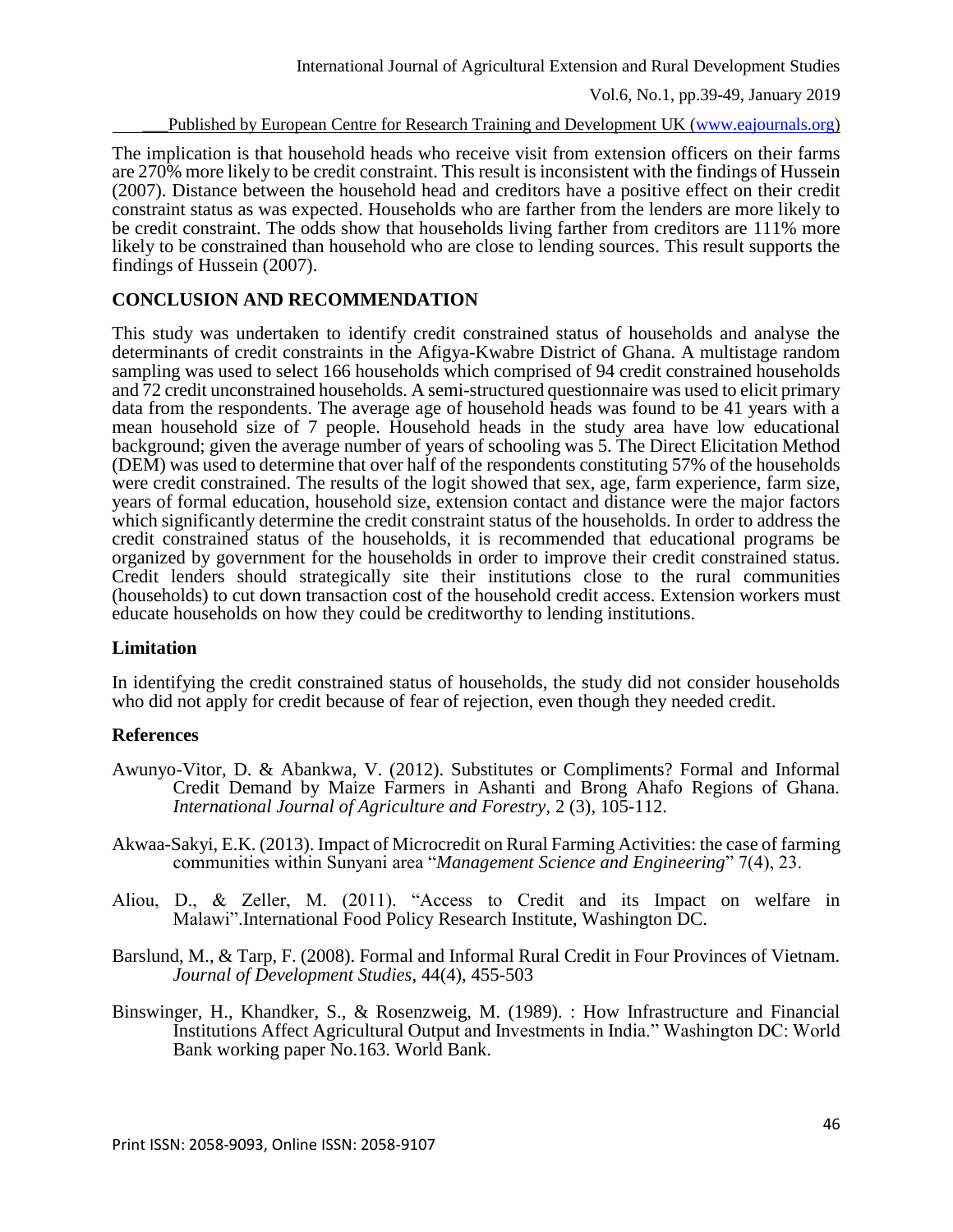Published by European Centre for Research Training and Development UK [\(www.eajournals.org\)](http://www.eajournals.org/)

The implication is that household heads who receive visit from extension officers on their farms are 270% more likely to be credit constraint. This result is inconsistent with the findings of Hussein (2007). Distance between the household head and creditors have a positive effect on their credit constraint status as was expected. Households who are farther from the lenders are more likely to be credit constraint. The odds show that households living farther from creditors are 111% more likely to be constrained than household who are close to lending sources. This result supports the findings of Hussein (2007).

# **CONCLUSION AND RECOMMENDATION**

This study was undertaken to identify credit constrained status of households and analyse the determinants of credit constraints in the Afigya-Kwabre District of Ghana. A multistage random sampling was used to select 166 households which comprised of 94 credit constrained households and 72 credit unconstrained households. A semi-structured questionnaire was used to elicit primary data from the respondents. The average age of household heads was found to be 41 years with a mean household size of 7 people. Household heads in the study area have low educational background; given the average number of years of schooling was 5. The Direct Elicitation Method (DEM) was used to determine that over half of the respondents constituting 57% of the households were credit constrained. The results of the logit showed that sex, age, farm experience, farm size, years of formal education, household size, extension contact and distance were the major factors which significantly determine the credit constraint status of the households. In order to address the credit constrained status of the households, it is recommended that educational programs be organized by government for the households in order to improve their credit constrained status. Credit lenders should strategically site their institutions close to the rural communities (households) to cut down transaction cost of the household credit access. Extension workers must educate households on how they could be creditworthy to lending institutions.

# **Limitation**

In identifying the credit constrained status of households, the study did not consider households who did not apply for credit because of fear of rejection, even though they needed credit.

# **References**

- Awunyo-Vitor, D. & Abankwa, V. (2012). Substitutes or Compliments? Formal and Informal Credit Demand by Maize Farmers in Ashanti and Brong Ahafo Regions of Ghana. *International Journal of Agriculture and Forestry*, 2 (3), 105-112.
- Akwaa-Sakyi, E.K. (2013). Impact of Microcredit on Rural Farming Activities: the case of farming communities within Sunyani area "*Management Science and Engineering*" 7(4), 23.
- Aliou, D., & Zeller, M. (2011). "Access to Credit and its Impact on welfare in Malawi".International Food Policy Research Institute, Washington DC.
- Barslund, M., & Tarp, F. (2008). Formal and Informal Rural Credit in Four Provinces of Vietnam. *Journal of Development Studies*, 44(4), 455-503
- Binswinger, H., Khandker, S., & Rosenzweig, M. (1989). : How Infrastructure and Financial Institutions Affect Agricultural Output and Investments in India." Washington DC: World Bank working paper No.163. World Bank.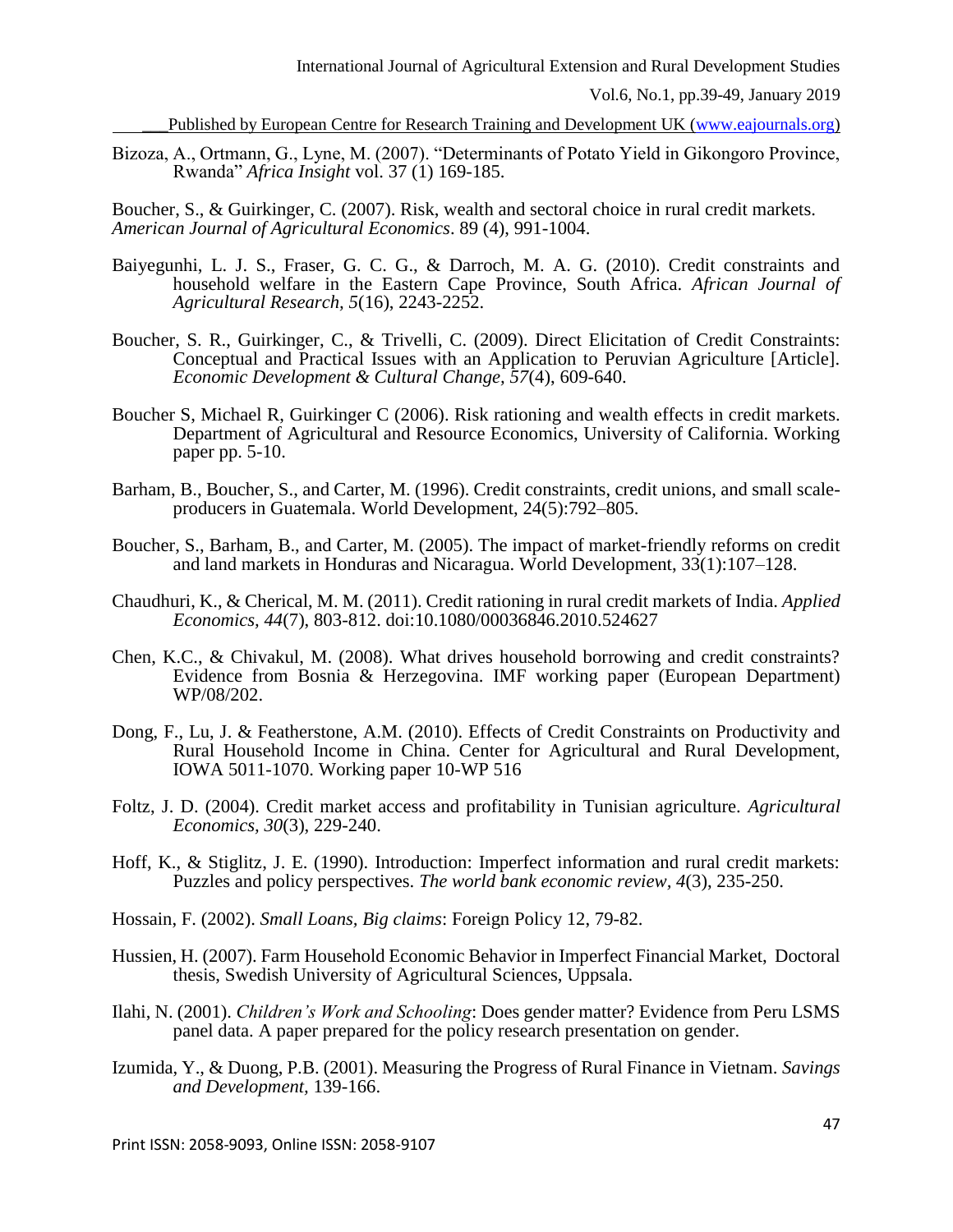Published by European Centre for Research Training and Development UK [\(www.eajournals.org\)](http://www.eajournals.org/)

Bizoza, A., Ortmann, G., Lyne, M. (2007). "Determinants of Potato Yield in Gikongoro Province, Rwanda" *Africa Insight* vol. 37 (1) 169-185.

Boucher, S., & Guirkinger, C. (2007). Risk, wealth and sectoral choice in rural credit markets. *American Journal of Agricultural Economics*. 89 (4), 991-1004.

- Baiyegunhi, L. J. S., Fraser, G. C. G., & Darroch, M. A. G. (2010). Credit constraints and household welfare in the Eastern Cape Province, South Africa. *African Journal of Agricultural Research, 5*(16), 2243-2252.
- Boucher, S. R., Guirkinger, C., & Trivelli, C. (2009). Direct Elicitation of Credit Constraints: Conceptual and Practical Issues with an Application to Peruvian Agriculture [Article]. *Economic Development & Cultural Change, 57*(4), 609-640.
- Boucher S, Michael R, Guirkinger C (2006). Risk rationing and wealth effects in credit markets. Department of Agricultural and Resource Economics, University of California. Working paper pp. 5-10.
- Barham, B., Boucher, S., and Carter, M. (1996). Credit constraints, credit unions, and small scaleproducers in Guatemala. World Development, 24(5):792–805.
- Boucher, S., Barham, B., and Carter, M. (2005). The impact of market-friendly reforms on credit and land markets in Honduras and Nicaragua. World Development, 33(1):107–128.
- Chaudhuri, K., & Cherical, M. M. (2011). Credit rationing in rural credit markets of India. *Applied Economics, 44*(7), 803-812. doi:10.1080/00036846.2010.524627
- Chen, K.C., & Chivakul, M. (2008). What drives household borrowing and credit constraints? Evidence from Bosnia & Herzegovina. IMF working paper (European Department) WP/08/202.
- Dong, F., Lu, J. & Featherstone, A.M. (2010). Effects of Credit Constraints on Productivity and Rural Household Income in China. Center for Agricultural and Rural Development, IOWA 5011-1070. Working paper 10-WP 516
- Foltz, J. D. (2004). Credit market access and profitability in Tunisian agriculture. *Agricultural Economics, 30*(3), 229-240.
- Hoff, K., & Stiglitz, J. E. (1990). Introduction: Imperfect information and rural credit markets: Puzzles and policy perspectives. *The world bank economic review, 4*(3), 235-250.
- Hossain, F. (2002). *Small Loans, Big claims*: Foreign Policy 12, 79-82.
- Hussien, H. (2007). Farm Household Economic Behavior in Imperfect Financial Market, Doctoral thesis, Swedish University of Agricultural Sciences, Uppsala.
- Ilahi, N. (2001). *Children's Work and Schooling*: Does gender matter? Evidence from Peru LSMS panel data. A paper prepared for the policy research presentation on gender.
- Izumida, Y., & Duong, P.B. (2001). Measuring the Progress of Rural Finance in Vietnam. *Savings and Development,* 139-166.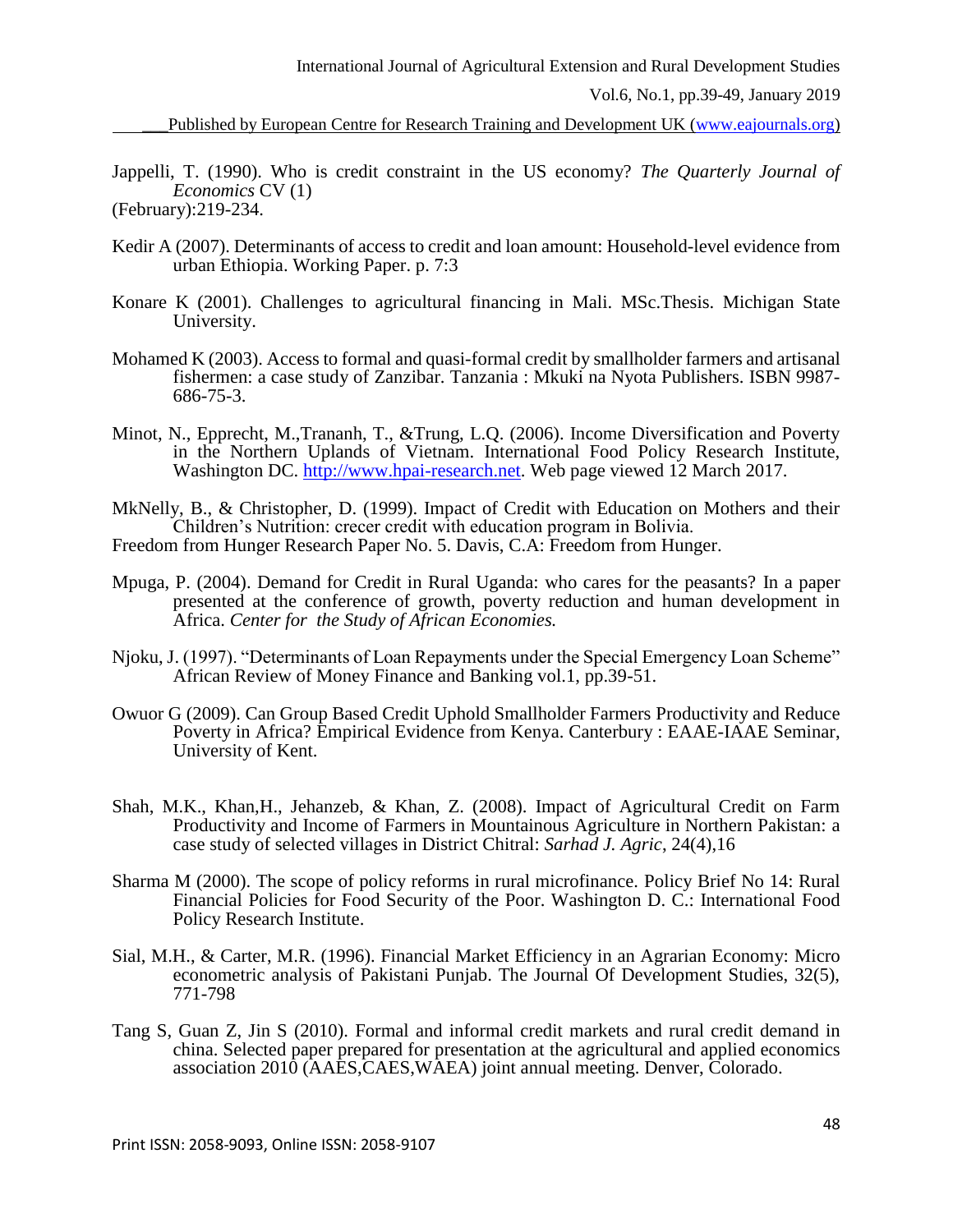Published by European Centre for Research Training and Development UK [\(www.eajournals.org\)](http://www.eajournals.org/)

Jappelli, T. (1990). Who is credit constraint in the US economy? *The Quarterly Journal of Economics* CV (1)

(February):219-234.

- Kedir A (2007). Determinants of access to credit and loan amount: Household-level evidence from urban Ethiopia. Working Paper. p. 7:3
- Konare K (2001). Challenges to agricultural financing in Mali. MSc.Thesis. Michigan State University.
- Mohamed K (2003). Access to formal and quasi-formal credit by smallholder farmers and artisanal fishermen: a case study of Zanzibar. Tanzania : Mkuki na Nyota Publishers. ISBN 9987- 686-75-3.
- Minot, N., Epprecht, M.,Trananh, T., &Trung, L.Q. (2006). Income Diversification and Poverty in the Northern Uplands of Vietnam. International Food Policy Research Institute, Washington DC. [http://www.hpai-research.net.](http://www.hpai-research.net/) Web page viewed 12 March 2017.
- MkNelly, B., & Christopher, D. (1999). Impact of Credit with Education on Mothers and their Children's Nutrition: crecer credit with education program in Bolivia. Freedom from Hunger Research Paper No. 5. Davis, C.A: Freedom from Hunger.
- Mpuga, P. (2004). Demand for Credit in Rural Uganda: who cares for the peasants? In a paper presented at the conference of growth, poverty reduction and human development in Africa. *Center for the Study of African Economies.*
- Njoku, J. (1997). "Determinants of Loan Repayments under the Special Emergency Loan Scheme" African Review of Money Finance and Banking vol.1, pp.39-51.
- Owuor G (2009). Can Group Based Credit Uphold Smallholder Farmers Productivity and Reduce Poverty in Africa? Empirical Evidence from Kenya. Canterbury : EAAE-IAAE Seminar, University of Kent.
- Shah, M.K., Khan,H., Jehanzeb, & Khan, Z. (2008). Impact of Agricultural Credit on Farm Productivity and Income of Farmers in Mountainous Agriculture in Northern Pakistan: a case study of selected villages in District Chitral: *Sarhad J. Agric*, 24(4),16
- Sharma M (2000). The scope of policy reforms in rural microfinance. Policy Brief No 14: Rural Financial Policies for Food Security of the Poor. Washington D. C.: International Food Policy Research Institute.
- Sial, M.H., & Carter, M.R. (1996). Financial Market Efficiency in an Agrarian Economy: Micro econometric analysis of Pakistani Punjab. The Journal Of Development Studies, 32(5), 771-798
- Tang S, Guan Z, Jin S (2010). Formal and informal credit markets and rural credit demand in china. Selected paper prepared for presentation at the agricultural and applied economics association 2010 (AAES,CAES,WAEA) joint annual meeting. Denver, Colorado.